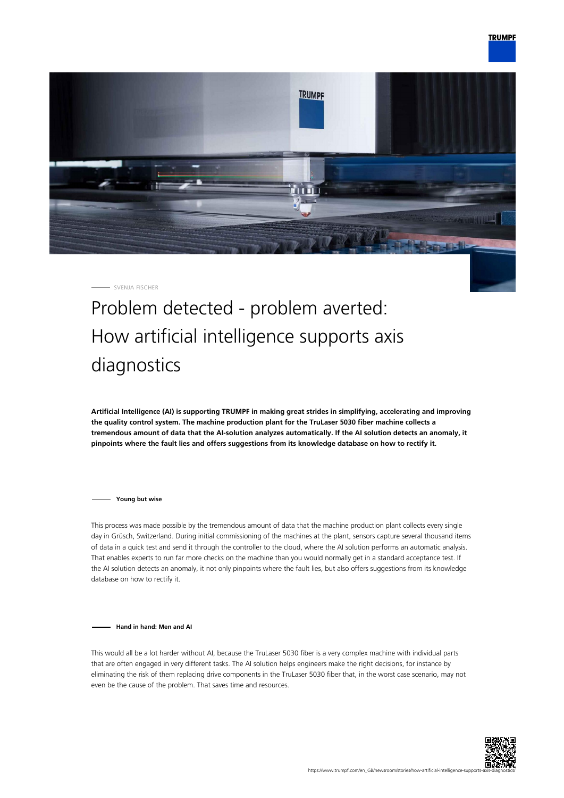

SVENJA FISCHER

## Problem detected - problem averted: How artificial intelligence supports axis diagnostics

**Artificial Intelligence (AI) is supporting TRUMPF in making great strides in simplifying, accelerating and improving the quality control system. The machine production plant for the TruLaser 5030 fiber machine collects a tremendous amount of data that the AI-solution analyzes automatically. If the AI solution detects an anomaly, it pinpoints where the fault lies and offers suggestions from its knowledge database on how to rectify it.**

**Young but wise**

This process was made possible by the tremendous amount of data that the machine production plant collects every single day in Grüsch, Switzerland. During initial commissioning of the machines at the plant, sensors capture several thousand items of data in a quick test and send it through the controller to the cloud, where the AI solution performs an automatic analysis. That enables experts to run far more checks on the machine than you would normally get in a standard acceptance test. If the AI solution detects an anomaly, it not only pinpoints where the fault lies, but also offers suggestions from its knowledge database on how to rectify it.

**Hand in hand: Men and AI**

This would all be a lot harder without AI, because the TruLaser 5030 fiber is a very complex machine with individual parts that are often engaged in very different tasks. The AI solution helps engineers make the right decisions, for instance by eliminating the risk of them replacing drive components in the TruLaser 5030 fiber that, in the worst case scenario, may not even be the cause of the problem. That saves time and resources.